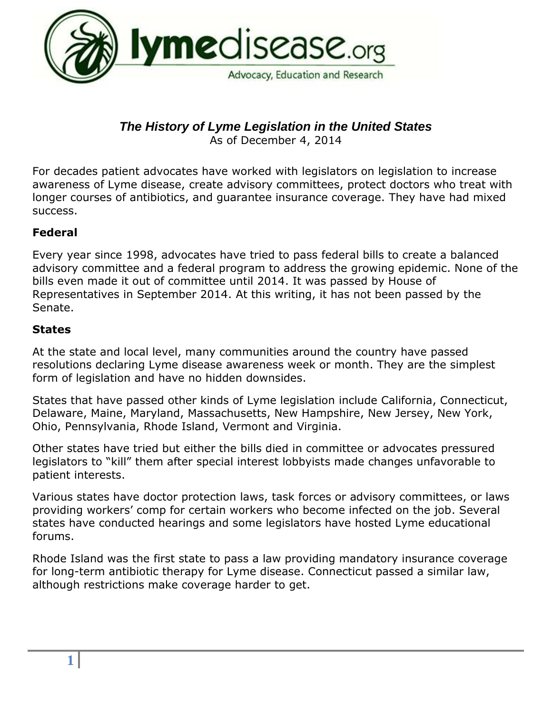

# *The History of Lyme Legislation in the United States*

As of December 4, 2014

For decades patient advocates have worked with legislators on legislation to increase awareness of Lyme disease, create advisory committees, protect doctors who treat with longer courses of antibiotics, and guarantee insurance coverage. They have had mixed success.

#### **Federal**

Every year since 1998, advocates have tried to pass federal bills to create a balanced advisory committee and a federal program to address the growing epidemic. None of the bills even made it out of committee until 2014. It was passed by House of Representatives in September 2014. At this writing, it has not been passed by the Senate.

#### **States**

At the state and local level, many communities around the country have passed resolutions declaring Lyme disease awareness week or month. They are the simplest form of legislation and have no hidden downsides.

States that have passed other kinds of Lyme legislation include California, Connecticut, Delaware, Maine, Maryland, Massachusetts, New Hampshire, New Jersey, New York, Ohio, Pennsylvania, Rhode Island, Vermont and Virginia.

Other states have tried but either the bills died in committee or advocates pressured legislators to "kill" them after special interest lobbyists made changes unfavorable to patient interests.

Various states have doctor protection laws, task forces or advisory committees, or laws providing workers' comp for certain workers who become infected on the job. Several states have conducted hearings and some legislators have hosted Lyme educational forums.

Rhode Island was the first state to pass a law providing mandatory insurance coverage for long-term antibiotic therapy for Lyme disease. Connecticut passed a similar law, although restrictions make coverage harder to get.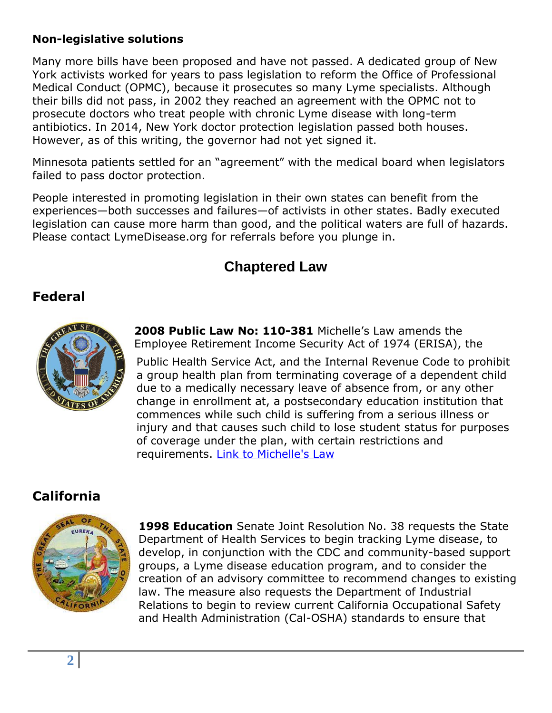#### **Non-legislative solutions**

Many more bills have been proposed and have not passed. A dedicated group of New York activists worked for years to pass legislation to reform the Office of Professional Medical Conduct (OPMC), because it prosecutes so many Lyme specialists. Although their bills did not pass, in 2002 they reached an agreement with the OPMC not to prosecute doctors who treat people with chronic Lyme disease with long-term antibiotics. In 2014, New York doctor protection legislation passed both houses. However, as of this writing, the governor had not yet signed it.

Minnesota patients settled for an "agreement" with the medical board when legislators failed to pass doctor protection.

People interested in promoting legislation in their own states can benefit from the experiences—both successes and failures—of activists in other states. Badly executed legislation can cause more harm than good, and the political waters are full of hazards. Please contact LymeDisease.org for referrals before you plunge in.

## **Chaptered Law**

#### **Federal**



**[2008 Public L](https://beta.congress.gov/bill/110th-congress/house-bill/2851/text)aw No: 110-381** Michelle's Law amends the Employee Retirement Income Security Act of 1974 (ERISA), the

Public Health Service Act, and the Internal Revenue Code to prohibit a group health plan from terminating coverage of a dependent child due to a medically necessary leave of absence from, or any other change in enrollment at, a postsecondary education institution that commences while such child is suffering from a serious illness or injury and that causes such child to lose st[udent status for purposes](https://www.congress.gov/bill/110th-congress/house-bill/2851?q=%7B%22search%22%3A%5B%22110-381%22%5D%7D)  of coverage under the plan, with certain restrictions and requirements. Link to Michelle's Law

### **California**



**1998 Education** Senate Joint Resolution No. 38 requests the State Department of Health Services to begin tracking Lyme disease, to develop, in conjunction with the CDC and community-based support groups, a Lyme disease education program, and to consider the creation of an advisory committee to recommend changes to existing law. The measure also requests the Department of Industrial Relations to begin to review current California Occupational Safety and Health Administration (Cal-OSHA) standards to ensure that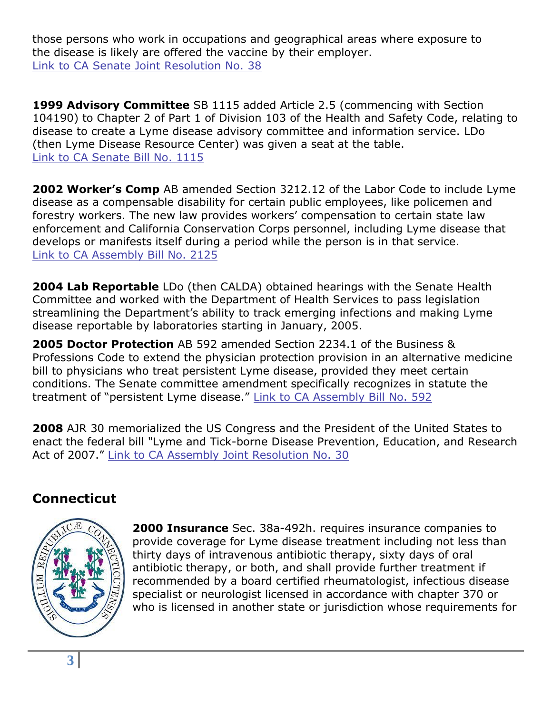those persons who work in occupations and geographical areas where exposure to the disease is likely are offered the vaccine by their employer. [Link to CA Senate Joint Resolution No. 38](http://www.leginfo.ca.gov/pub/97-98/bill/sen/sb_0001-0050/sjr_38_bill_19980818_chaptered.pdf)

**1999 Advisory Committee** SB 1115 added Article 2.5 (commencing with Section 104190) to Chapter 2 of Part 1 of Division 103 of the Health and Safety Code, relating to disease to create a Lyme disease advisory committee and information service. LDo (then Lyme Disease Resource Center) was given a seat at the table. [Link to CA Senate Bill No. 1115](http://www.leginfo.ca.gov/pub/99-00/bill/sen/sb_1101-1150/sb_1115_bill_19991010_chaptered.pdf)

**2002 Worker's Comp** AB amended Section 3212.12 of the Labor Code to include Lyme disease as a compensable disability for certain public employees, like policemen and forestry workers. The new law provides workers' compensation to certain state law enforcement and California Conservation Corps personnel, including Lyme disease that develops or manifests itself during a period while the person is in that service. [Link to CA Assembly Bill No. 2125](http://www.leginfo.ca.gov/pub/01-02/bill/asm/ab_2101-2150/ab_2125_bill_20020926_chaptered.pdf)

**2004 Lab Reportable** LDo (then CALDA) obtained hearings with the Senate Health Committee and worked with the Department of Health Services to pass legislation streamlining the Department's ability to track emerging infections and making Lyme disease reportable by laboratories starting in January, 2005.

**2005 Doctor Protection** AB 592 amended Section 2234.1 of the Business & Professions Code to extend the physician protection provision in an alternative medicine bill to physicians who treat persistent Lyme disease, provided they meet certain conditions. The Senate committee amendment specifically recognizes in statute the treatment of "persistent Lyme disease." [Link to CA Assembly Bill No. 592](http://www.leginfo.ca.gov/pub/05-06/bill/asm/ab_0551-0600/ab_592_bill_20050922_chaptered.pdf)

**2008** AJR 30 memorialized the US Congress and the President of the United States to enact the federal bill "Lyme and Tick-borne Disease Prevention, Education, and Research Act of 2007." [Link to CA Assembly Joint Resolution No. 30](http://www.leginfo.ca.gov/pub/07-08/bill/asm/ab_0001-0050/ajr_30_bill_20080227_chaptered.pdf)

## **Connecticut**



**2000 Insurance** Sec. 38a-492h. requires insurance companies to provide coverage for Lyme disease treatment including not less than thirty days of intravenous antibiotic therapy, sixty days of oral antibiotic therapy, or both, and shall provide further treatment if recommended by a board certified rheumatologist, infectious disease specialist or neurologist licensed in accordance with chapter 370 or who is licensed in another state or jurisdiction whose requirements for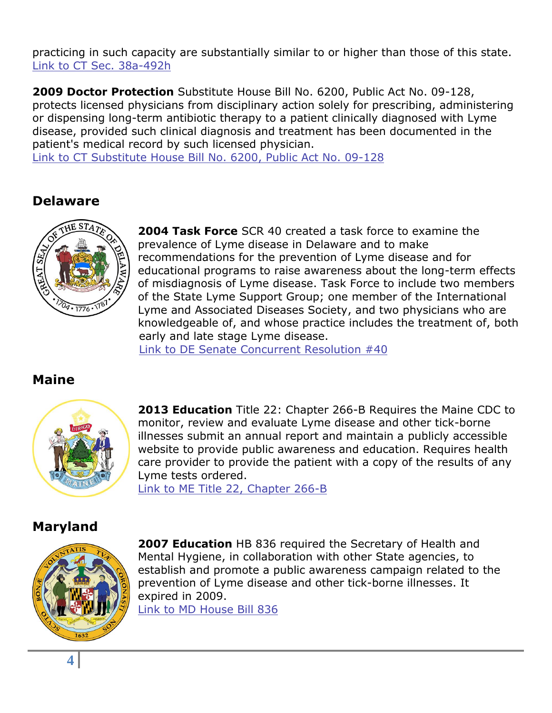practicing in such capacity are substantially similar to or higher than those of this state. [Link to CT Sec. 38a-492h](http://www.cga.ct.gov/2011/pub/chap700c.htm#Sec38a-518h.htm)

**2009 Doctor Protection** Substitute House Bill No. 6200, Public Act No. 09-128, protects licensed physicians from disciplinary action solely for prescribing, administering or dispensing long-term antibiotic therapy to a patient clinically diagnosed with Lyme disease, provided such clinical diagnosis and treatment has been documented in the patient's medical record by such licensed physician.

[Link to CT Substitute House Bill No. 6200, Public Act No. 09-128](http://www.cga.ct.gov/2009/act/Pa/pdf/2009PA-00128-R00HB-06200-PA.PDF)

#### **Delaware**



**2004 Task Force** SCR 40 created a task force to examine the prevalence of Lyme disease in Delaware and to make recommendations for the prevention of Lyme disease and for educational programs to raise awareness about the long-term effects of misdiagnosis of Lyme disease. Task Force to include two members of the State Lyme Support Group; one member of the International Lyme and Associated Diseases Society, and two physicians who are knowledgeable of, and whose practice includes the treatment of, both early and late stage Lyme disease.

[Link to DE Senate Concurrent Resolution #40](http://legis.delaware.gov/LIS%5CLIS142.NSF/vwlegislation/SCR%2040?opendocument)

## **Maine**



**2013 Education** Title 22: Chapter 266-B Requires the Maine CDC to monitor, review and evaluate Lyme disease and other tick-borne illnesses submit an annual report and maintain a publicly accessible website to provide public awareness and education. Requires health care provider to provide the patient with a copy of the results of any Lyme tests ordered.

[Link to ME Title 22, Chapter 266-B](http://www.mainelegislature.org/legis/statutes/22/title22ch266-Bsec0.html)

### **Maryland**



**2007 Education** HB 836 required the Secretary of Health and Mental Hygiene, in collaboration with other State agencies, to establish and promote a public awareness campaign related to the prevention of Lyme disease and other tick-borne illnesses. It expired in 2009. [Link to MD House Bill 836](http://mlis.state.md.us/2007RS/bills/hb/hb0836t.pdf)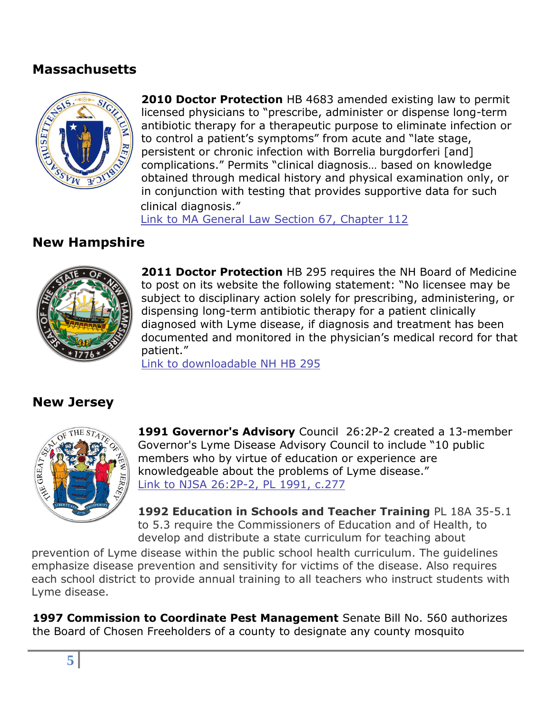#### **Massachusetts**



**2010 Doctor Protection** HB 4683 amended existing law to permit licensed physicians to "prescribe, administer or dispense long-term antibiotic therapy for a therapeutic purpose to eliminate infection or to control a patient's symptoms" from acute and "late stage, persistent or chronic infection with Borrelia burgdorferi [and] complications." Permits "clinical diagnosis… based on knowledge obtained through medical history and physical examination only, or in conjunction with testing that provides supportive data for such clinical diagnosis."

[Link to MA General Law Section 67, Chapter 112](http://www.mass.gov/bb/gaa/fy2011/os_11/h67.htm)

### **New Hampshire**



**2011 Doctor Protection** HB 295 requires the NH Board of Medicine to post on its website the following statement: "No licensee may be subject to disciplinary action solely for prescribing, administering, or dispensing long-term antibiotic therapy for a patient clinically diagnosed with Lyme disease, if diagnosis and treatment has been documented and monitored in the physician's medical record for that patient."

[Link to downloadable NH HB 295](http://search.nh.gov/nhgov-search.htm?q=157%3A1+Board+of+Medicine%3B+Lyme+Disease+Treatment&cmd=Search!)

### **New Jersey**



**1991 Governor's Advisory** Council 26:2P-2 created a 13-member Governor's Lyme Disease Advisory Council to include "10 public members who by virtue of education or experience are knowledgeable about the problems of Lyme disease." [Link to NJSA 26:2P-2, PL 1991, c.277](http://www.nj.gov/health/bc/other/ldac.shtml)

**1992 Education in Schools and Teacher Training** PL 18A 35-5.1 to 5.3 require the Commissioners of Education and of Health, to develop and distribute a state curriculum for teaching about

prevention of Lyme disease within the public school health curriculum. The guidelines emphasize disease prevention and sensitivity for victims of the disease. Also requires each school district to provide annual training to all teachers who instruct students with Lyme disease.

**1997 Commission to Coordinate Pest Management** Senate Bill No. 560 authorizes the Board of Chosen Freeholders of a county to designate any county mosquito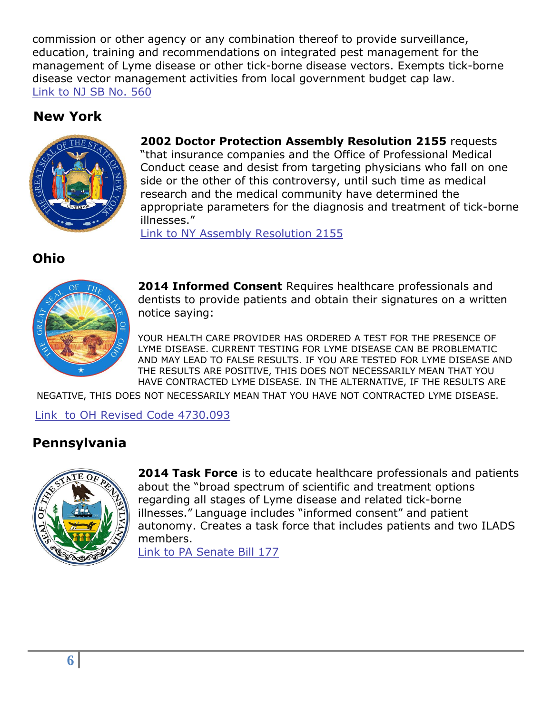commission or other agency or any combination thereof to provide surveillance, education, training and recommendations on integrated pest management for the management of Lyme disease or other tick-borne disease vectors. Exempts tick-borne disease vector management activities from local government budget cap law. [Link to NJ SB No. 560](ftp://www.njleg.state.nj.us/19961997/PL97/52_.pdf)

### **New York**



**2002 Doctor Protection Assembly Resolution 2155** requests "that insurance companies and the Office of Professional Medical Conduct cease and desist from targeting physicians who fall on one side or the other of this controversy, until such time as medical research and the medical community have determined the appropriate parameters for the diagnosis and treatment of tick-borne illnesses."

[Link to NY Assembly Resolution 2155](http://www.lymeinfo.net/nyresolution.html) 

**Ohio** 



**2014 Informed Consent** Requires healthcare professionals and dentists to provide patients and obtain their signatures on a written notice saying:

YOUR HEALTH CARE PROVIDER HAS ORDERED A TEST FOR THE PRESENCE OF LYME DISEASE. CURRENT TESTING FOR LYME DISEASE CAN BE PROBLEMATIC AND MAY LEAD TO FALSE RESULTS. IF YOU ARE TESTED FOR LYME DISEASE AND THE RESULTS ARE POSITIVE, THIS DOES NOT NECESSARILY MEAN THAT YOU HAVE CONTRACTED LYME DISEASE. IN THE ALTERNATIVE, IF THE RESULTS ARE

NEGATIVE, THIS DOES NOT NECESSARILY MEAN THAT YOU HAVE NOT CONTRACTED LYME DISEASE.

[Link to OH Revised Code 4730.093](http://codes.ohio.gov/orc/4730.093)

## **Pennsylvania**



**2014 Task Force** is to educate healthcare professionals and patients about the "broad spectrum of scientific and treatment options regarding all stages of Lyme disease and related tick-borne illnesses." Language includes "informed consent" and patient autonomy. Creates a task force that includes patients and two ILADS members.

[Link to PA Senate Bill 177](http://www.legis.state.pa.us/cfdocs/billinfo/billinfo.cfm?syear=2013&sind=0&body=S&type=B&bn=0177)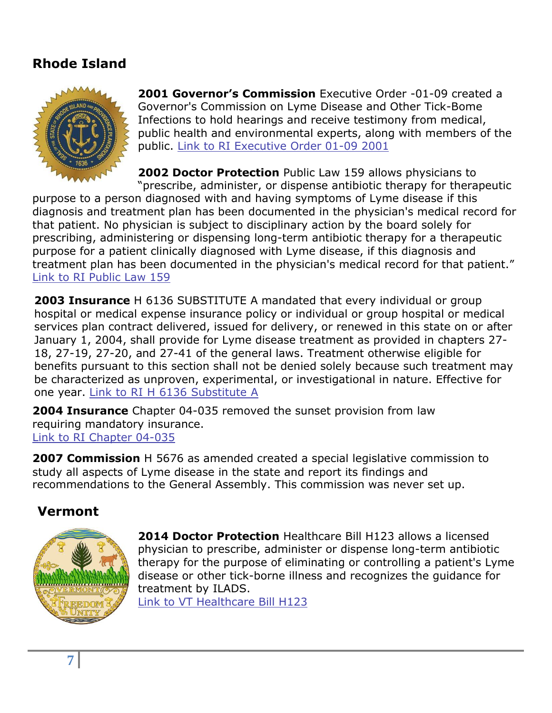## **Rhode Island**



**2001 Governor's Commission** Executive Order -01-09 created a Governor's Commission on Lyme Disease and Other Tick-Bome Infections to hold hearings and receive testimony from medical, public health and environmental experts, along with members of the public. [Link to RI Executive Order 01-09 2001](http://almond.apps.uri.edu/execord/01-09.html)

**2002 Doctor Protection** Public Law 159 allows physicians to "prescribe, administer, or dispense antibiotic therapy for therapeutic

purpose to a person diagnosed with and having symptoms of Lyme disease if this diagnosis and treatment plan has been documented in the physician's medical record for that patient. No physician is subject to disciplinary action by the board solely for prescribing, administering or dispensing long-term antibiotic therapy for a therapeutic purpose for a patient clinically diagnosed with Lyme disease, if this diagnosis and treatment plan has been documented in the physician's medical record for that patient." [Link to RI Public Law 159](http://webserver.rilin.state.ri.us/PublicLaws/law02/law02159.htm)

**2003 Insurance** H 6136 SUBSTITUTE A mandated that every individual or group hospital or medical expense insurance policy or individual or group hospital or medical services plan contract delivered, issued for delivery, or renewed in this state on or after January 1, 2004, shall provide for Lyme disease treatment as provided in chapters 27- 18, 27-19, 27-20, and 27-41 of the general laws. Treatment otherwise eligible for benefits pursuant to this section shall not be denied solely because such treatment may be characterized as unproven, experimental, or investigational in nature. Effective for one year. [Link to RI H 6136 Substitute A](http://webserver.rilin.state.ri.us/PublicLaws/law03/law03113.htm)

**2004 Insurance** Chapter 04-035 removed the sunset provision from law requiring mandatory insurance. [Link to RI Chapter 04-035](http://webserver.rilin.state.ri.us/PublicLaws/law04/law04035.htm)

**2007 Commission** H 5676 as amended created a special legislative commission to study all aspects of Lyme disease in the state and report its findings and recommendations to the General Assembly. This commission was never set up.

#### **Vermont**



**2014 Doctor Protection** Healthcare Bill H123 allows a licensed physician to prescribe, administer or dispense long-term antibiotic therapy for the purpose of eliminating or controlling a patient's Lyme disease or other tick-borne illness and recognizes the guidance for treatment by ILADS.

[Link to VT Healthcare Bill H123](http://www.leg.state.vt.us/docs/2014/Acts/ACT134.pdf)